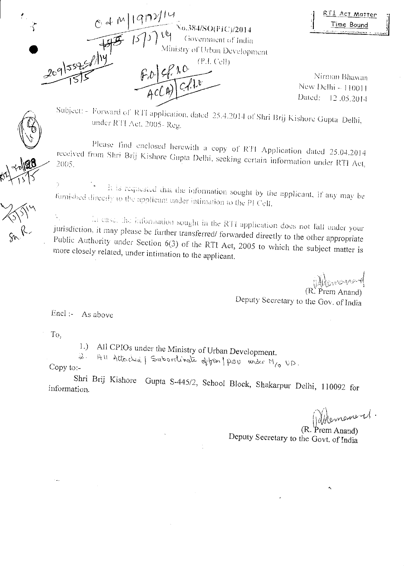RTI Act Matter Time Bound

 $197$ 0.384/SO(FIC)/2014 Government of India winistry of Urban Development  $F.D.$   $C.P.1.0$ <br> $G.L.$   $C e II.$ 

Nirman Bhawan New Delhi - 110011 Dated: 12 .05.2014

Subject Forward of R14 application, dated 25.4.2014 of Shri Brij Kishorc Gupta Delhi, under RT1 Act, 2005- Reg.

Please find enclosed herewith a copy of RTI Application dated 25.04.2014 received reesived from Shri Brij Kishore Gupta Delhi, seeking certain information under RTI Act,

 $\frac{1}{2}$  $\frac{1}{2}$  JAC-d JAW, the Is nequested that the information sought by the applicant, if any may be furnished directly to the applicant under intimation to the P1 Cell.

In case, the information sought in the RTI application does not fall under your jurisdiction, it may please be further transferred/ forwarded directly to the other appropriate Public Authority under Section  $6(3)$  of the RTI Act, 2005 to which the subject matter is more closely related, under intimation to the applicant.

> $\psi$ (R: Prem Anand) Deputy Secretary to the Gov. of India

Encl :- As above

To,

1.) All CPIOs under the Ministry of Urban Development.

 $Ru$  Attorched | Subordinate of fries |  $p$ su under  $M_{\ell_0}$  UD.

Copy to:-

Shri Brij Kishore Gupta 5-445/2, School Block, Shakarpur Delhi, 110092 for information.

Whencever U.

(R. Prem Anand) Deputy Secretary to the Govt. of India

198

tr-

क<br>●<br>•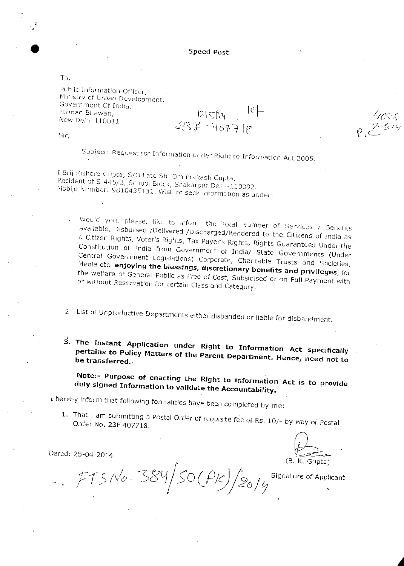Speed Post

 $121514$  $237 - 46778$ 

To,

Public Information Officer, Ministry of Urban Development, Government Of India, Nirman Bhawan, New Delhi 110011

Sir,

Subject: Request for Information under Right to Information Act 2005.

I Brij Kishore Gupta, 5/0 Late Sri. Om Prakash Gupta. Resident of S-4145/2, School Block, Shakarpur Delhi-110092. Mobile Number: 9810435131. Wish to seek information as under:

Would you, please, like to inform the 'total Number of Services / Benefits available, Disbursed /Delivered /Discharged/Rendered to the Citizens of India as a Citizen Rights, Voter's Rights, Tax Payer's Rights, Rights Guaranteed Under the Constitution of India from Government of India/ State Governments (Under Central Government Legislations) Corporate, Charitable Trusts and Societies, Media etc. **enjoying the blessings, discretionary benefits and privileges,** for the welfare of General Public as Free of Cost, Subsidised or on Full Payment with or without Reservation for certain Class and Category.

- 2. List of Unproductive Departments either disbanded or liable for disbandment.
- **The instant Application under Right to Information Act specifically pertains to Policy Matters of the Parent Department. Hence, be transferred..** need **not to**

**Note:- Purpose of enacting the Right to information Act is to provide duly signed Information to validate the Accountability.** 

I hereby inform that following formalities have been completed by me:

1. That I am submitting a Postal Order of requisite fee of Rs. 10/- by way of Postal Order No. 23F 407718.

Dared: 25-04-2014

(B. K. Gupta)

 $f_{T5}$ No. 384/50 (PIC)/2014 Signature of Applicant